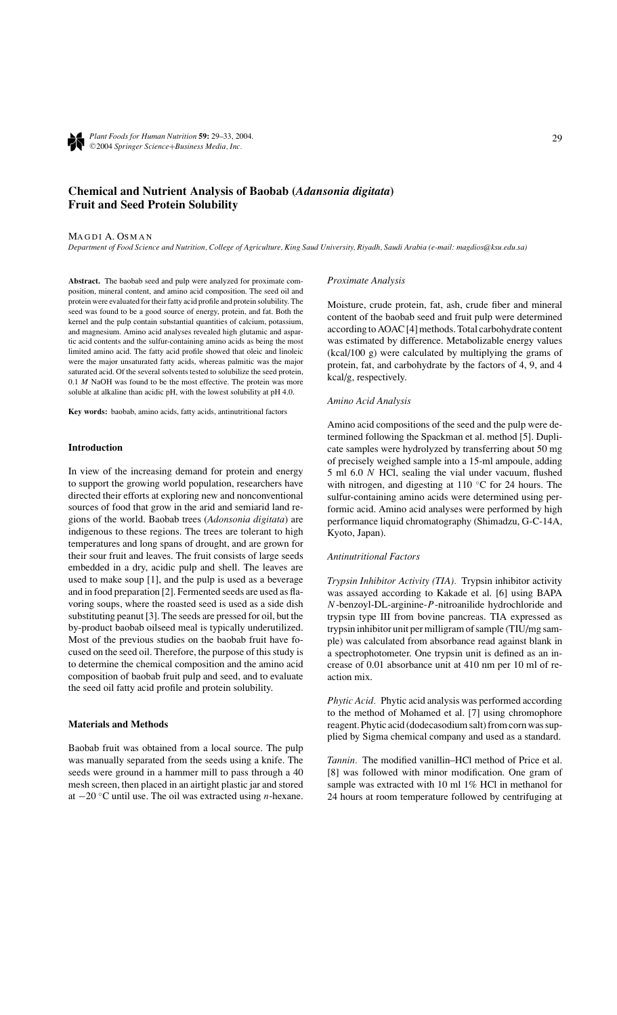

*Plant Foods for Human Nutrition* **59:** 29–33, 2004. -<sup>C</sup> 2004 *Springer Science*+*Business Media, Inc.*

# **Chemical and Nutrient Analysis of Baobab (***Adansonia digitata***) Fruit and Seed Protein Solubility**

#### MAGDI A. OSMAN

*Department of Food Science and Nutrition, College of Agriculture, King Saud University, Riyadh, Saudi Arabia (e-mail: magdios@ksu.edu.sa)*

**Abstract.** The baobab seed and pulp were analyzed for proximate composition, mineral content, and amino acid composition. The seed oil and protein were evaluated for their fatty acid profile and protein solubility. The seed was found to be a good source of energy, protein, and fat. Both the kernel and the pulp contain substantial quantities of calcium, potassium, and magnesium. Amino acid analyses revealed high glutamic and aspartic acid contents and the sulfur-containing amino acids as being the most limited amino acid. The fatty acid profile showed that oleic and linoleic were the major unsaturated fatty acids, whereas palmitic was the major saturated acid. Of the several solvents tested to solubilize the seed protein, 0.1 *M* NaOH was found to be the most effective. The protein was more soluble at alkaline than acidic pH, with the lowest solubility at pH 4.0.

**Key words:** baobab, amino acids, fatty acids, antinutritional factors

### **Introduction**

In view of the increasing demand for protein and energy to support the growing world population, researchers have directed their efforts at exploring new and nonconventional sources of food that grow in the arid and semiarid land regions of the world. Baobab trees (*Adonsonia digitata*) are indigenous to these regions. The trees are tolerant to high temperatures and long spans of drought, and are grown for their sour fruit and leaves. The fruit consists of large seeds embedded in a dry, acidic pulp and shell. The leaves are used to make soup [1], and the pulp is used as a beverage and in food preparation [2]. Fermented seeds are used as flavoring soups, where the roasted seed is used as a side dish substituting peanut [3]. The seeds are pressed for oil, but the by-product baobab oilseed meal is typically underutilized. Most of the previous studies on the baobab fruit have focused on the seed oil. Therefore, the purpose of this study is to determine the chemical composition and the amino acid composition of baobab fruit pulp and seed, and to evaluate the seed oil fatty acid profile and protein solubility.

# **Materials and Methods**

Baobab fruit was obtained from a local source. The pulp was manually separated from the seeds using a knife. The seeds were ground in a hammer mill to pass through a 40 mesh screen, then placed in an airtight plastic jar and stored at −20 ◦C until use. The oil was extracted using *n*-hexane.

#### *Proximate Analysis*

Moisture, crude protein, fat, ash, crude fiber and mineral content of the baobab seed and fruit pulp were determined according to AOAC [4] methods. Total carbohydrate content was estimated by difference. Metabolizable energy values (kcal/100 g) were calculated by multiplying the grams of protein, fat, and carbohydrate by the factors of 4, 9, and 4 kcal/g, respectively.

#### *Amino Acid Analysis*

Amino acid compositions of the seed and the pulp were determined following the Spackman et al. method [5]. Duplicate samples were hydrolyzed by transferring about 50 mg of precisely weighed sample into a 15-ml ampoule, adding 5 ml 6.0 *N* HCl, sealing the vial under vacuum, flushed with nitrogen, and digesting at  $110\degree$ C for 24 hours. The sulfur-containing amino acids were determined using performic acid. Amino acid analyses were performed by high performance liquid chromatography (Shimadzu, G-C-14A, Kyoto, Japan).

# *Antinutritional Factors*

*Trypsin Inhibitor Activity (TIA).* Trypsin inhibitor activity was assayed according to Kakade et al. [6] using BAPA *N*-benzoyl-DL-arginine-*P*-nitroanilide hydrochloride and trypsin type III from bovine pancreas. TIA expressed as trypsin inhibitor unit per milligram of sample (TIU/mg sample) was calculated from absorbance read against blank in a spectrophotometer. One trypsin unit is defined as an increase of 0.01 absorbance unit at 410 nm per 10 ml of reaction mix.

*Phytic Acid.* Phytic acid analysis was performed according to the method of Mohamed et al. [7] using chromophore reagent. Phytic acid (dodecasodium salt) from corn was supplied by Sigma chemical company and used as a standard.

*Tannin.* The modified vanillin–HCl method of Price et al. [8] was followed with minor modification. One gram of sample was extracted with 10 ml 1% HCl in methanol for 24 hours at room temperature followed by centrifuging at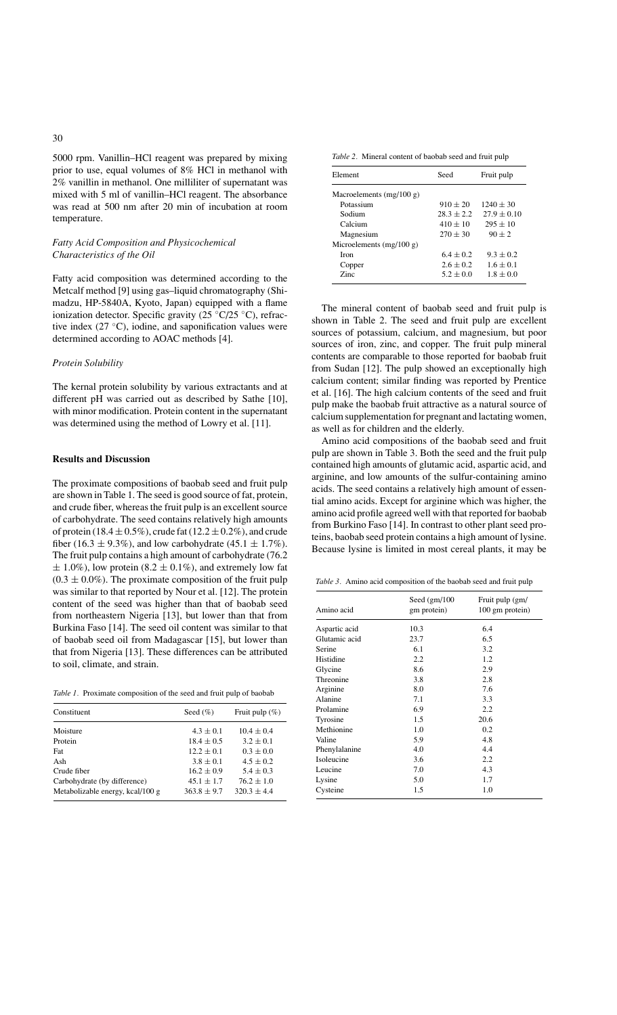5000 rpm. Vanillin–HCl reagent was prepared by mixing prior to use, equal volumes of 8% HCl in methanol with 2% vanillin in methanol. One milliliter of supernatant was mixed with 5 ml of vanillin–HCl reagent. The absorbance was read at 500 nm after 20 min of incubation at room temperature.

# *Fatty Acid Composition and Physicochemical Characteristics of the Oil*

Fatty acid composition was determined according to the Metcalf method [9] using gas–liquid chromatography (Shimadzu, HP-5840A, Kyoto, Japan) equipped with a flame ionization detector. Specific gravity (25  $\degree$ C/25  $\degree$ C), refractive index  $(27 \text{ °C})$ , iodine, and saponification values were determined according to AOAC methods [4].

## *Protein Solubility*

The kernal protein solubility by various extractants and at different pH was carried out as described by Sathe [10], with minor modification. Protein content in the supernatant was determined using the method of Lowry et al. [11].

# **Results and Discussion**

The proximate compositions of baobab seed and fruit pulp are shown in Table 1. The seed is good source of fat, protein, and crude fiber, whereas the fruit pulp is an excellent source of carbohydrate. The seed contains relatively high amounts of protein (18.4  $\pm$  0.5%), crude fat (12.2  $\pm$  0.2%), and crude fiber (16.3  $\pm$  9.3%), and low carbohydrate (45.1  $\pm$  1.7%). The fruit pulp contains a high amount of carbohydrate (76.2  $\pm$  1.0%), low protein (8.2  $\pm$  0.1%), and extremely low fat  $(0.3 \pm 0.0\%)$ . The proximate composition of the fruit pulp was similar to that reported by Nour et al. [12]. The protein content of the seed was higher than that of baobab seed from northeastern Nigeria [13], but lower than that from Burkina Faso [14]. The seed oil content was similar to that of baobab seed oil from Madagascar [15], but lower than that from Nigeria [13]. These differences can be attributed to soil, climate, and strain.

*Table 1.* Proximate composition of the seed and fruit pulp of baobab

| Constituent                      | Seed $(\% )$   | Fruit pulp $(\% )$ |
|----------------------------------|----------------|--------------------|
| Moisture                         | $4.3 \pm 0.1$  | $10.4 \pm 0.4$     |
| Protein                          | $18.4 \pm 0.5$ | $3.2 + 0.1$        |
| Fat                              | $12.2 \pm 0.1$ | $0.3 \pm 0.0$      |
| Ash                              | $3.8 \pm 0.1$  | $4.5 \pm 0.2$      |
| Crude fiber                      | $16.2 \pm 0.9$ | $5.4 \pm 0.3$      |
| Carbohydrate (by difference)     | $45.1 \pm 1.7$ | $76.2 \pm 1.0$     |
| Metabolizable energy, kcal/100 g | $363.8 + 9.7$  | $320.3 + 4.4$      |

*Table 2.* Mineral content of baobab seed and fruit pulp

| Element                    | Seed          | Fruit pulp      |
|----------------------------|---------------|-----------------|
| Macroelements $(mg/100 g)$ |               |                 |
| Potassium                  | $910 \pm 20$  | $1240 \pm 30$   |
| Sodium                     | $28.3 + 2.2$  | $27.9 \pm 0.10$ |
| Calcium                    | $410 + 10$    | $295 + 10$      |
| Magnesium                  | $270 \pm 30$  | $90 + 2$        |
| Microelements $(mg/100 g)$ |               |                 |
| <b>Iron</b>                | $6.4 \pm 0.2$ | $9.3 + 0.2$     |
| Copper                     | $2.6 + 0.2$   | $1.6 \pm 0.1$   |
| Zinc.                      | $5.2 + 0.0$   | $1.8 + 0.0$     |

The mineral content of baobab seed and fruit pulp is shown in Table 2. The seed and fruit pulp are excellent sources of potassium, calcium, and magnesium, but poor sources of iron, zinc, and copper. The fruit pulp mineral contents are comparable to those reported for baobab fruit from Sudan [12]. The pulp showed an exceptionally high calcium content; similar finding was reported by Prentice et al. [16]. The high calcium contents of the seed and fruit pulp make the baobab fruit attractive as a natural source of calcium supplementation for pregnant and lactating women, as well as for children and the elderly.

Amino acid compositions of the baobab seed and fruit pulp are shown in Table 3. Both the seed and the fruit pulp contained high amounts of glutamic acid, aspartic acid, and arginine, and low amounts of the sulfur-containing amino acids. The seed contains a relatively high amount of essential amino acids. Except for arginine which was higher, the amino acid profile agreed well with that reported for baobab from Burkino Faso [14]. In contrast to other plant seed proteins, baobab seed protein contains a high amount of lysine. Because lysine is limited in most cereal plants, it may be

*Table 3.* Amino acid composition of the baobab seed and fruit pulp

| Amino acid    | Seed $(gm/100$<br>gm protein) | Fruit pulp (gm/<br>100 gm protein) |
|---------------|-------------------------------|------------------------------------|
| Aspartic acid | 10.3                          | 6.4                                |
| Glutamic acid | 23.7                          | 6.5                                |
| Serine        | 6.1                           | 3.2                                |
| Histidine     | 2.2                           | 1.2                                |
| Glycine       | 8.6                           | 2.9                                |
| Threonine     | 3.8                           | 2.8                                |
| Arginine      | 8.0                           | 7.6                                |
| Alanine       | 7.1                           | 3.3                                |
| Prolamine     | 6.9                           | 2.2                                |
| Tyrosine      | 1.5                           | 20.6                               |
| Methionine    | 1.0                           | 0.2                                |
| Valine        | 5.9                           | 4.8                                |
| Phenylalanine | 4.0                           | 4.4                                |
| Isoleucine    | 3.6                           | 2.2                                |
| Leucine       | 7.0                           | 4.3                                |
| Lysine        | 5.0                           | 1.7                                |
| Cysteine      | 1.5                           | 1.0                                |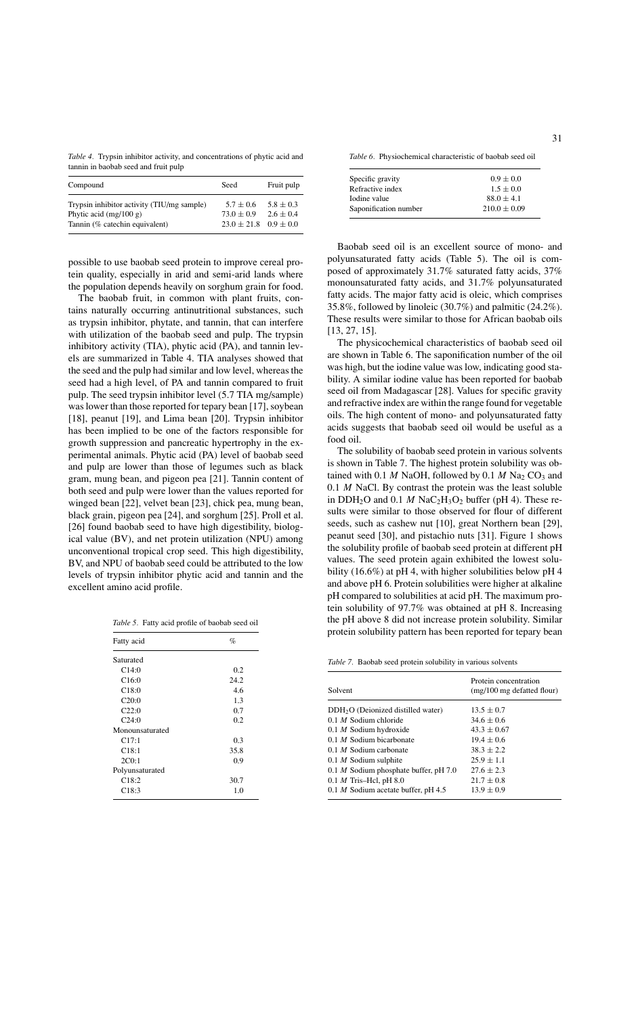*Table 4.* Trypsin inhibitor activity, and concentrations of phytic acid and tannin in baobab seed and fruit pulp

| Compound                                                                                                 | Seed                                                             | Fruit pulp                     |
|----------------------------------------------------------------------------------------------------------|------------------------------------------------------------------|--------------------------------|
| Trypsin inhibitor activity (TIU/mg sample)<br>Phytic acid $(mg/100 g)$<br>Tannin (% catechin equivalent) | $5.7 \pm 0.6$<br>$73.0 \pm 0.9$<br>$23.0 \pm 21.8$ $0.9 \pm 0.0$ | $5.8 \pm 0.3$<br>$2.6 \pm 0.4$ |

possible to use baobab seed protein to improve cereal protein quality, especially in arid and semi-arid lands where the population depends heavily on sorghum grain for food.

The baobab fruit, in common with plant fruits, contains naturally occurring antinutritional substances, such as trypsin inhibitor, phytate, and tannin, that can interfere with utilization of the baobab seed and pulp. The trypsin inhibitory activity (TIA), phytic acid (PA), and tannin levels are summarized in Table 4. TIA analyses showed that the seed and the pulp had similar and low level, whereas the seed had a high level, of PA and tannin compared to fruit pulp. The seed trypsin inhibitor level (5.7 TIA mg/sample) was lower than those reported for tepary bean [17], soybean [18], peanut [19], and Lima bean [20]. Trypsin inhibitor has been implied to be one of the factors responsible for growth suppression and pancreatic hypertrophy in the experimental animals. Phytic acid (PA) level of baobab seed and pulp are lower than those of legumes such as black gram, mung bean, and pigeon pea [21]. Tannin content of both seed and pulp were lower than the values reported for winged bean [22], velvet bean [23], chick pea, mung bean, black grain, pigeon pea [24], and sorghum [25]. Proll et al. [26] found baobab seed to have high digestibility, biological value (BV), and net protein utilization (NPU) among unconventional tropical crop seed. This high digestibility, BV, and NPU of baobab seed could be attributed to the low levels of trypsin inhibitor phytic acid and tannin and the excellent amino acid profile.

| Table 5. Fatty acid profile of baobab seed oil |  |  |  |  |  |  |  |
|------------------------------------------------|--|--|--|--|--|--|--|
|------------------------------------------------|--|--|--|--|--|--|--|

| Fatty acid         | $\%$ |
|--------------------|------|
| Saturated          |      |
| C14:0              | 0.2  |
| C16:0              | 24.2 |
| C18:0              | 46   |
| C20:0              | 1.3  |
| C22:0              | 0.7  |
| C24:0              | 0.2  |
| Monounsaturated    |      |
| C17:1              | 0.3  |
| C18:1              | 35.8 |
| 2C <sub>0</sub> :1 | 0.9  |
| Polyunsaturated    |      |
| C18:2              | 30.7 |
| C18:3              | 1.0  |

*Table 6.* Physiochemical characteristic of baobab seed oil

| Specific gravity      | $0.9 \pm 0.0$    |
|-----------------------|------------------|
| Refractive index      | $1.5 \pm 0.0$    |
| Iodine value          | $88.0 \pm 4.1$   |
| Saponification number | $210.0 \pm 0.09$ |

Baobab seed oil is an excellent source of mono- and polyunsaturated fatty acids (Table 5). The oil is composed of approximately 31.7% saturated fatty acids, 37% monounsaturated fatty acids, and 31.7% polyunsaturated fatty acids. The major fatty acid is oleic, which comprises 35.8%, followed by linoleic (30.7%) and palmitic (24.2%). These results were similar to those for African baobab oils [13, 27, 15].

The physicochemical characteristics of baobab seed oil are shown in Table 6. The saponification number of the oil was high, but the iodine value was low, indicating good stability. A similar iodine value has been reported for baobab seed oil from Madagascar [28]. Values for specific gravity and refractive index are within the range found for vegetable oils. The high content of mono- and polyunsaturated fatty acids suggests that baobab seed oil would be useful as a food oil.

The solubility of baobab seed protein in various solvents is shown in Table 7. The highest protein solubility was obtained with 0.1 *M* NaOH, followed by 0.1 *M* Na<sub>2</sub> CO<sub>3</sub> and 0.1 *M* NaCl. By contrast the protein was the least soluble in DDH<sub>2</sub>O and 0.1 *M* NaC<sub>2</sub>H<sub>3</sub>O<sub>2</sub> buffer (pH 4). These results were similar to those observed for flour of different seeds, such as cashew nut [10], great Northern bean [29], peanut seed [30], and pistachio nuts [31]. Figure 1 shows the solubility profile of baobab seed protein at different pH values. The seed protein again exhibited the lowest solubility (16.6%) at pH 4, with higher solubilities below pH 4 and above pH 6. Protein solubilities were higher at alkaline pH compared to solubilities at acid pH. The maximum protein solubility of 97.7% was obtained at pH 8. Increasing the pH above 8 did not increase protein solubility. Similar protein solubility pattern has been reported for tepary bean

|  |  | Table 7. Baobab seed protein solubility in various solvents |  |  |
|--|--|-------------------------------------------------------------|--|--|
|  |  |                                                             |  |  |

| Solvent                                        | Protein concentration<br>$(mg/100 \text{ mg}$ defatted flour) |
|------------------------------------------------|---------------------------------------------------------------|
| $DDH2O$ (Deionized distilled water)            | $13.5 \pm 0.7$                                                |
| $0.1 M$ Sodium chloride                        | $34.6 \pm 0.6$                                                |
| $0.1$ <i>M</i> Sodium hydroxide                | $43.3 \pm 0.67$                                               |
| $0.1$ <i>M</i> Sodium bicarbonate              | $19.4 \pm 0.6$                                                |
| $0.1$ <i>M</i> Sodium carbonate                | $38.3 + 2.2$                                                  |
| $0.1$ <i>M</i> Sodium sulphite                 | $25.9 \pm 1.1$                                                |
| $0.1$ <i>M</i> Sodium phosphate buffer, pH 7.0 | $27.6 \pm 2.3$                                                |
| 0.1 $M$ Tris-Hcl, pH 8.0                       | $21.7 \pm 0.8$                                                |
| 0.1 <i>M</i> Sodium acetate buffer, pH $4.5$   | $13.9 \pm 0.9$                                                |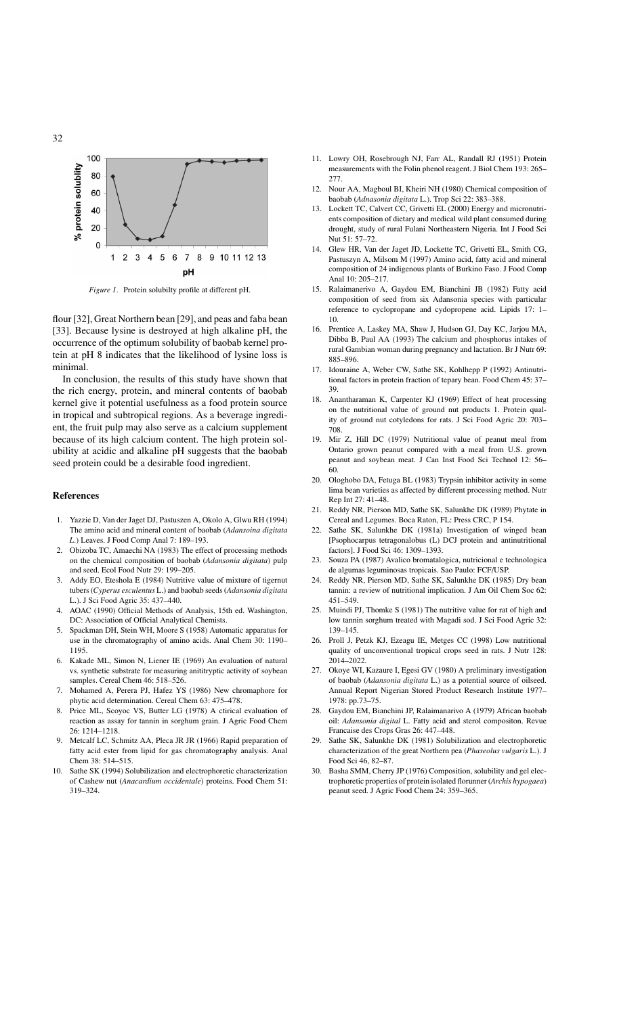

*Figure 1.* Protein solubilty profile at different pH.

flour [32], Great Northern bean [29], and peas and faba bean [33]. Because lysine is destroyed at high alkaline pH, the occurrence of the optimum solubility of baobab kernel protein at pH 8 indicates that the likelihood of lysine loss is minimal.

In conclusion, the results of this study have shown that the rich energy, protein, and mineral contents of baobab kernel give it potential usefulness as a food protein source in tropical and subtropical regions. As a beverage ingredient, the fruit pulp may also serve as a calcium supplement because of its high calcium content. The high protein solubility at acidic and alkaline pH suggests that the baobab seed protein could be a desirable food ingredient.

#### **References**

- 1. Yazzie D, Van der Jaget DJ, Pastuszen A, Okolo A, Glwu RH (1994) The amino acid and mineral content of baobab (*Adansoina digitata L.*) Leaves. J Food Comp Anal 7: 189–193.
- 2. Obizoba TC, Amaechi NA (1983) The effect of processing methods on the chemical composition of baobab (*Adansonia digitata*) pulp and seed. Ecol Food Nutr 29: 199–205.
- 3. Addy EO, Eteshola E (1984) Nutritive value of mixture of tigernut tubers (*Cyperus esculentus* L.) and baobab seeds (*Adansonia digitata* L.). J Sci Food Agric 35: 437–440.
- 4. AOAC (1990) Official Methods of Analysis, 15th ed. Washington, DC: Association of Official Analytical Chemists.
- 5. Spackman DH, Stein WH, Moore S (1958) Automatic apparatus for use in the chromatography of amino acids. Anal Chem 30: 1190– 1195.
- 6. Kakade ML, Simon N, Liener IE (1969) An evaluation of natural vs. synthetic substrate for measuring anititryptic activity of soybean samples. Cereal Chem 46: 518–526.
- 7. Mohamed A, Perera PJ, Hafez YS (1986) New chromaphore for phytic acid determination. Cereal Chem 63: 475–478.
- 8. Price ML, Scoyoc VS, Butter LG (1978) A ctirical evaluation of reaction as assay for tannin in sorghum grain. J Agric Food Chem 26: 1214–1218.
- 9. Metcalf LC, Schmitz AA, Pleca JR JR (1966) Rapid preparation of fatty acid ester from lipid for gas chromatography analysis. Anal Chem 38: 514–515.
- 10. Sathe SK (1994) Solubilization and electrophoretic characterization of Cashew nut (*Anacardium occidentale*) proteins. Food Chem 51: 319–324.
- 11. Lowry OH, Rosebrough NJ, Farr AL, Randall RJ (1951) Protein measurements with the Folin phenol reagent. J Biol Chem 193: 265– 277.
- 12. Nour AA, Magboul BI, Kheiri NH (1980) Chemical composition of baobab (*Adnasonia digitata* L.). Trop Sci 22: 383–388.
- 13. Lockett TC, Calvert CC, Grivetti EL (2000) Energy and micronutrients composition of dietary and medical wild plant consumed during drought, study of rural Fulani Northeastern Nigeria. Int J Food Sci Nut 51: 57–72.
- 14. Glew HR, Van der Jaget JD, Lockette TC, Grivetti EL, Smith CG, Pastuszyn A, Milsom M (1997) Amino acid, fatty acid and mineral composition of 24 indigenous plants of Burkino Faso. J Food Comp Anal 10: 205–217.
- 15. Ralaimanerivo A, Gaydou EM, Bianchini JB (1982) Fatty acid composition of seed from six Adansonia species with particular reference to cyclopropane and cydopropene acid. Lipids 17: 1– 10.
- 16. Prentice A, Laskey MA, Shaw J, Hudson GJ, Day KC, Jarjou MA, Dibba B, Paul AA (1993) The calcium and phosphorus intakes of rural Gambian woman during pregnancy and lactation. Br J Nutr 69: 885–896.
- 17. Idouraine A, Weber CW, Sathe SK, Kohlhepp P (1992) Antinutritional factors in protein fraction of tepary bean. Food Chem 45: 37– 39.
- 18. Anantharaman K, Carpenter KJ (1969) Effect of heat processing on the nutritional value of ground nut products 1. Protein quality of ground nut cotyledons for rats. J Sci Food Agric 20: 703– 708.
- 19. Mir Z, Hill DC (1979) Nutritional value of peanut meal from Ontario grown peanut compared with a meal from U.S. grown peanut and soybean meat. J Can Inst Food Sci Technol 12: 56– 60.
- 20. Ologhobo DA, Fetuga BL (1983) Trypsin inhibitor activity in some lima bean varieties as affected by different processing method. Nutr Rep Int 27: 41–48.
- 21. Reddy NR, Pierson MD, Sathe SK, Salunkhe DK (1989) Phytate in Cereal and Legumes. Boca Raton, FL: Press CRC, P 154.
- 22. Sathe SK, Salunkhe DK (1981a) Investigation of winged bean [Psophocarpus tetragonalobus (L) DCJ protein and antinutritional factors]. J Food Sci 46: 1309–1393.
- 23. Souza PA (1987) Avalico bromatalogica, nutricional e technologica de algumas leguminosas tropicais. Sao Paulo: FCF/USP.
- 24. Reddy NR, Pierson MD, Sathe SK, Salunkhe DK (1985) Dry bean tannin: a review of nutritional implication. J Am Oil Chem Soc 62: 451–549.
- 25. Muindi PJ, Thomke S (1981) The nutritive value for rat of high and low tannin sorghum treated with Magadi sod. J Sci Food Agric 32: 139–145.
- 26. Proll J, Petzk KJ, Ezeagu IE, Metges CC (1998) Low nutritional quality of unconventional tropical crops seed in rats. J Nutr 128: 2014–2022.
- 27. Okoye WI, Kazaure I, Egesi GV (1980) A preliminary investigation of baobab (*Adansonia digitata* L.) as a potential source of oilseed. Annual Report Nigerian Stored Product Research Institute 1977– 1978: pp.73–75.
- 28. Gaydou EM, Bianchini JP, Ralaimanarivo A (1979) African baobab oil: *Adansonia digital* L. Fatty acid and sterol compositon. Revue Francaise des Crops Gras 26: 447–448.
- 29. Sathe SK, Salunkhe DK (1981) Solubilization and electrophoretic characterization of the great Northern pea (*Phaseolus vulgaris* L.). J Food Sci 46, 82–87.
- 30. Basha SMM, Cherry JP (1976) Composition, solubility and gel electrophoretic properties of protein isolated florunner (*Archis hypogaea*) peanut seed. J Agric Food Chem 24: 359–365.